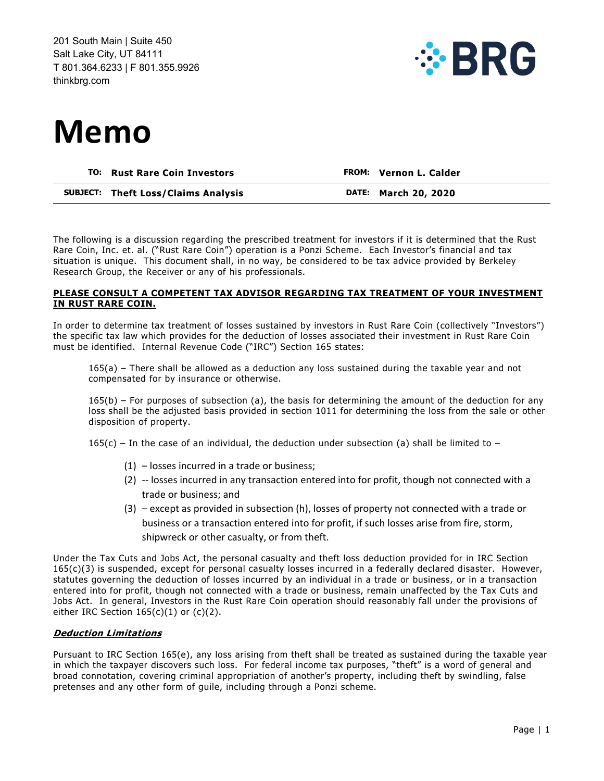

# **Memo**

| TO: Rust Rare Coin Investors               | <b>FROM: Vernon L. Calder</b> |
|--------------------------------------------|-------------------------------|
| <b>SUBJECT:</b> Theft Loss/Claims Analysis | <b>DATE: March 20, 2020</b>   |

The following is a discussion regarding the prescribed treatment for investors if it is determined that the Rust Rare Coin, Inc. et. al. ("Rust Rare Coin") operation is a Ponzi Scheme. Each Investor's financial and tax situation is unique. This document shall, in no way, be considered to be tax advice provided by Berkeley Research Group, the Receiver or any of his professionals.

### **PLEASE CONSULT A COMPETENT TAX ADVISOR REGARDING TAX TREATMENT OF YOUR INVESTMENT IN RUST RARE COIN.**

In order to determine tax treatment of losses sustained by investors in Rust Rare Coin (collectively "Investors") the specific tax law which provides for the deduction of losses associated their investment in Rust Rare Coin must be identified. Internal Revenue Code ("IRC") Section 165 states:

165(a) – There shall be allowed as a deduction any loss sustained during the taxable year and not compensated for by insurance or otherwise.

 $165(b)$  – For purposes of subsection (a), the basis for determining the amount of the deduction for any loss shall be the adjusted basis provided in section 1011 for determining the loss from the sale or other disposition of property.

 $165(c)$  – In the case of an individual, the deduction under subsection (a) shall be limited to –

- (1) losses incurred in a trade or business;
- (2) -- losses incurred in any transaction entered into for profit, though not connected with a trade or business; and
- (3) except as provided in subsection (h), losses of property not connected with a trade or business or a transaction entered into for profit, if such losses arise from fire, storm, shipwreck or other casualty, or from theft.

Under the Tax Cuts and Jobs Act, the personal casualty and theft loss deduction provided for in IRC Section 165(c)(3) is suspended, except for personal casualty losses incurred in a federally declared disaster. However, statutes governing the deduction of losses incurred by an individual in a trade or business, or in a transaction entered into for profit, though not connected with a trade or business, remain unaffected by the Tax Cuts and Jobs Act. In general, Investors in the Rust Rare Coin operation should reasonably fall under the provisions of either IRC Section  $165(c)(1)$  or  $(c)(2)$ .

## **Deduction Limitations**

Pursuant to IRC Section 165(e), any loss arising from theft shall be treated as sustained during the taxable year in which the taxpayer discovers such loss. For federal income tax purposes, "theft" is a word of general and broad connotation, covering criminal appropriation of another's property, including theft by swindling, false pretenses and any other form of guile, including through a Ponzi scheme.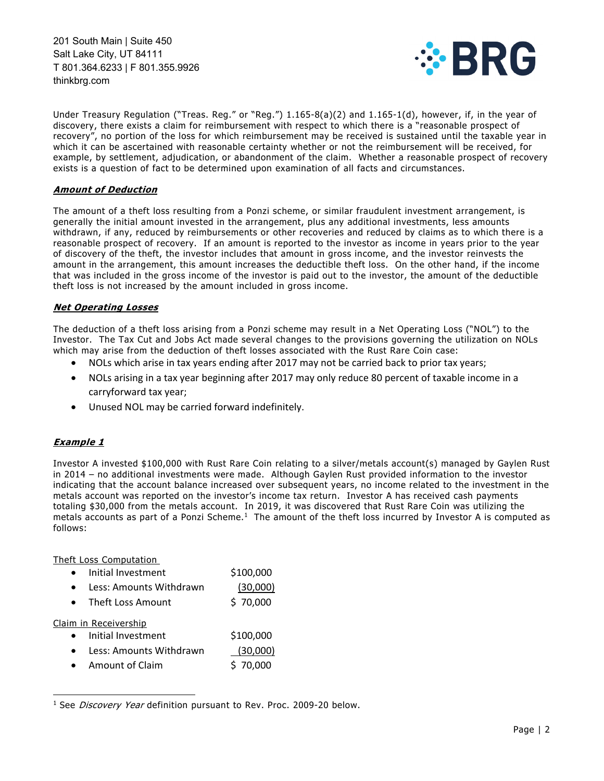

Under Treasury Regulation ("Treas. Reg." or "Reg.") 1.165-8(a)(2) and 1.165-1(d), however, if, in the year of discovery, there exists a claim for reimbursement with respect to which there is a "reasonable prospect of recovery", no portion of the loss for which reimbursement may be received is sustained until the taxable year in which it can be ascertained with reasonable certainty whether or not the reimbursement will be received, for example, by settlement, adjudication, or abandonment of the claim. Whether a reasonable prospect of recovery exists is a question of fact to be determined upon examination of all facts and circumstances.

## **Amount of Deduction**

The amount of a theft loss resulting from a Ponzi scheme, or similar fraudulent investment arrangement, is generally the initial amount invested in the arrangement, plus any additional investments, less amounts withdrawn, if any, reduced by reimbursements or other recoveries and reduced by claims as to which there is a reasonable prospect of recovery. If an amount is reported to the investor as income in years prior to the year of discovery of the theft, the investor includes that amount in gross income, and the investor reinvests the amount in the arrangement, this amount increases the deductible theft loss. On the other hand, if the income that was included in the gross income of the investor is paid out to the investor, the amount of the deductible theft loss is not increased by the amount included in gross income.

## **Net Operating Losses**

The deduction of a theft loss arising from a Ponzi scheme may result in a Net Operating Loss ("NOL") to the Investor. The Tax Cut and Jobs Act made several changes to the provisions governing the utilization on NOLs which may arise from the deduction of theft losses associated with the Rust Rare Coin case:

- NOLs which arise in tax years ending after 2017 may not be carried back to prior tax years;
- NOLs arising in a tax year beginning after 2017 may only reduce 80 percent of taxable income in a carryforward tax year;
- Unused NOL may be carried forward indefinitely.

# **Example 1**

Investor A invested \$100,000 with Rust Rare Coin relating to a silver/metals account(s) managed by Gaylen Rust in 2014 – no additional investments were made. Although Gaylen Rust provided information to the investor indicating that the account balance increased over subsequent years, no income related to the investment in the metals account was reported on the investor's income tax return. Investor A has received cash payments totaling \$30,000 from the metals account. In 2019, it was discovered that Rust Rare Coin was utilizing the metals accounts as part of a Ponzi Scheme.<sup>1</sup> The amount of the theft loss incurred by Investor A is computed as follows:

#### Theft Loss Computation

| $\bullet$ | Initial Investment      | \$100,000 |
|-----------|-------------------------|-----------|
| $\bullet$ | Less: Amounts Withdrawn | (30,000)  |
| $\bullet$ | Theft Loss Amount       | \$70,000  |

Claim in Receivership

| Initial Investment | \$100,000 |
|--------------------|-----------|
|                    |           |

- Less: Amounts Withdrawn (30,000)
- Amount of Claim 5 70,000

<sup>&</sup>lt;sup>1</sup> See *Discovery Year* definition pursuant to Rev. Proc. 2009-20 below.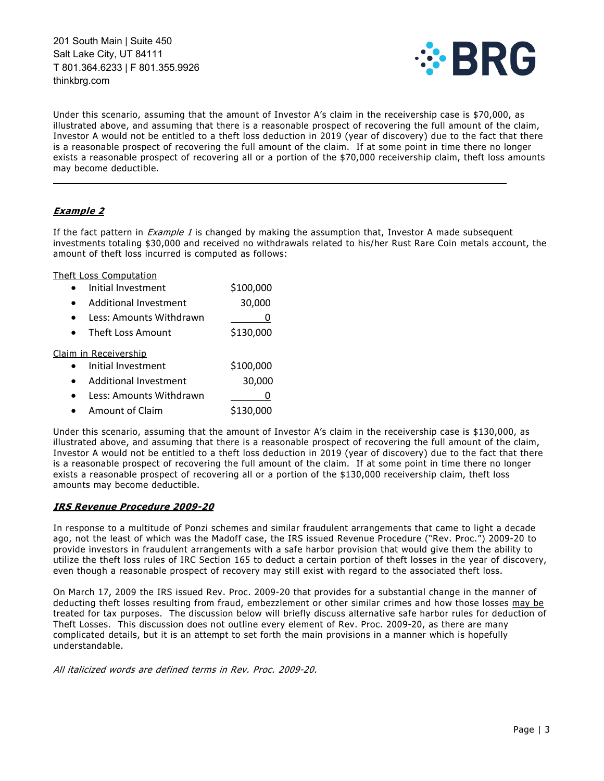

Under this scenario, assuming that the amount of Investor A's claim in the receivership case is \$70,000, as illustrated above, and assuming that there is a reasonable prospect of recovering the full amount of the claim, Investor A would not be entitled to a theft loss deduction in 2019 (year of discovery) due to the fact that there is a reasonable prospect of recovering the full amount of the claim. If at some point in time there no longer exists a reasonable prospect of recovering all or a portion of the \$70,000 receivership claim, theft loss amounts may become deductible.

\_\_\_\_\_\_\_\_\_\_\_\_\_\_\_\_\_\_\_\_\_\_\_\_\_\_\_\_\_\_\_\_\_\_\_\_\_\_\_\_\_\_\_\_\_\_\_\_\_\_\_\_\_\_\_\_\_\_\_\_\_\_\_\_\_\_\_\_\_\_\_\_\_\_\_\_\_\_\_\_\_\_\_\_\_

# **Example 2**

If the fact pattern in *Example 1* is changed by making the assumption that, Investor A made subsequent investments totaling \$30,000 and received no withdrawals related to his/her Rust Rare Coin metals account, the amount of theft loss incurred is computed as follows:

Theft Loss Computation

| Initial Investment           | \$100,000 |
|------------------------------|-----------|
| Additional Investment        | 30,000    |
| Less: Amounts Withdrawn      |           |
| Theft Loss Amount            | \$130,000 |
| Claim in Receivership        |           |
| Initial Investment           | \$100,000 |
| <b>Additional Investment</b> | 30,000    |
| Less: Amounts Withdrawn      |           |
| <b>Amount of Claim</b>       | \$130,000 |

Under this scenario, assuming that the amount of Investor A's claim in the receivership case is \$130,000, as illustrated above, and assuming that there is a reasonable prospect of recovering the full amount of the claim, Investor A would not be entitled to a theft loss deduction in 2019 (year of discovery) due to the fact that there is a reasonable prospect of recovering the full amount of the claim. If at some point in time there no longer exists a reasonable prospect of recovering all or a portion of the \$130,000 receivership claim, theft loss amounts may become deductible.

## **IRS Revenue Procedure 2009-20**

In response to a multitude of Ponzi schemes and similar fraudulent arrangements that came to light a decade ago, not the least of which was the Madoff case, the IRS issued Revenue Procedure ("Rev. Proc.") 2009-20 to provide investors in fraudulent arrangements with a safe harbor provision that would give them the ability to utilize the theft loss rules of IRC Section 165 to deduct a certain portion of theft losses in the year of discovery, even though a reasonable prospect of recovery may still exist with regard to the associated theft loss.

On March 17, 2009 the IRS issued Rev. Proc. 2009-20 that provides for a substantial change in the manner of deducting theft losses resulting from fraud, embezzlement or other similar crimes and how those losses may be treated for tax purposes. The discussion below will briefly discuss alternative safe harbor rules for deduction of Theft Losses. This discussion does not outline every element of Rev. Proc. 2009-20, as there are many complicated details, but it is an attempt to set forth the main provisions in a manner which is hopefully understandable.

All italicized words are defined terms in Rev. Proc. 2009-20.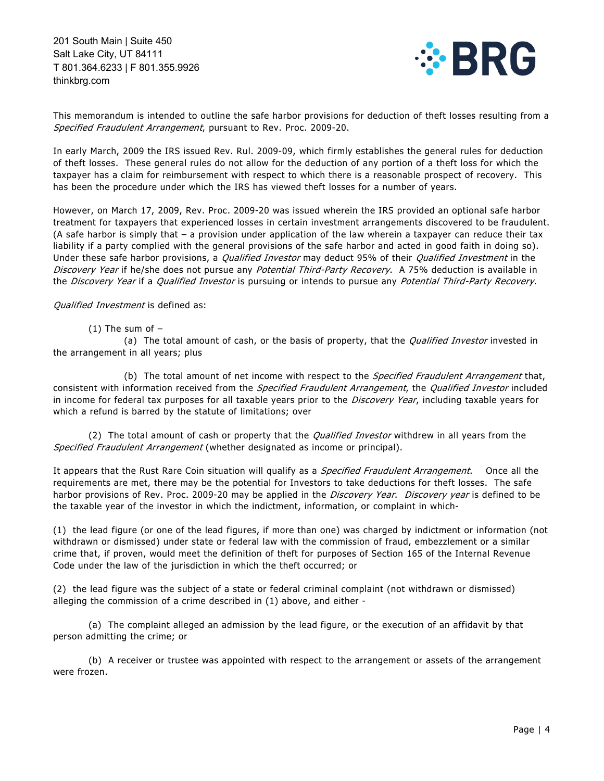

This memorandum is intended to outline the safe harbor provisions for deduction of theft losses resulting from a Specified Fraudulent Arrangement, pursuant to Rev. Proc. 2009-20.

In early March, 2009 the IRS issued Rev. Rul. 2009-09, which firmly establishes the general rules for deduction of theft losses. These general rules do not allow for the deduction of any portion of a theft loss for which the taxpayer has a claim for reimbursement with respect to which there is a reasonable prospect of recovery. This has been the procedure under which the IRS has viewed theft losses for a number of years.

However, on March 17, 2009, Rev. Proc. 2009-20 was issued wherein the IRS provided an optional safe harbor treatment for taxpayers that experienced losses in certain investment arrangements discovered to be fraudulent. (A safe harbor is simply that – a provision under application of the law wherein a taxpayer can reduce their tax liability if a party complied with the general provisions of the safe harbor and acted in good faith in doing so). Under these safe harbor provisions, a *Qualified Investor* may deduct 95% of their *Qualified Investment* in the Discovery Year if he/she does not pursue any Potential Third-Party Recovery. A 75% deduction is available in the Discovery Year if a Qualified Investor is pursuing or intends to pursue any Potential Third-Party Recovery.

## Qualified Investment is defined as:

 $(1)$  The sum of  $-$ 

(a) The total amount of cash, or the basis of property, that the *Qualified Investor* invested in the arrangement in all years; plus

(b) The total amount of net income with respect to the Specified Fraudulent Arrangement that, consistent with information received from the *Specified Fraudulent Arrangement*, the *Qualified Investor* included in income for federal tax purposes for all taxable years prior to the Discovery Year, including taxable years for which a refund is barred by the statute of limitations; over

(2) The total amount of cash or property that the *Qualified Investor* withdrew in all years from the Specified Fraudulent Arrangement (whether designated as income or principal).

It appears that the Rust Rare Coin situation will qualify as a *Specified Fraudulent Arrangement*. Once all the requirements are met, there may be the potential for Investors to take deductions for theft losses. The safe harbor provisions of Rev. Proc. 2009-20 may be applied in the *Discovery Year. Discovery year* is defined to be the taxable year of the investor in which the indictment, information, or complaint in which-

(1) the lead figure (or one of the lead figures, if more than one) was charged by indictment or information (not withdrawn or dismissed) under state or federal law with the commission of fraud, embezzlement or a similar crime that, if proven, would meet the definition of theft for purposes of Section 165 of the Internal Revenue Code under the law of the jurisdiction in which the theft occurred; or

(2) the lead figure was the subject of a state or federal criminal complaint (not withdrawn or dismissed) alleging the commission of a crime described in (1) above, and either -

 (a) The complaint alleged an admission by the lead figure, or the execution of an affidavit by that person admitting the crime; or

 (b) A receiver or trustee was appointed with respect to the arrangement or assets of the arrangement were frozen.